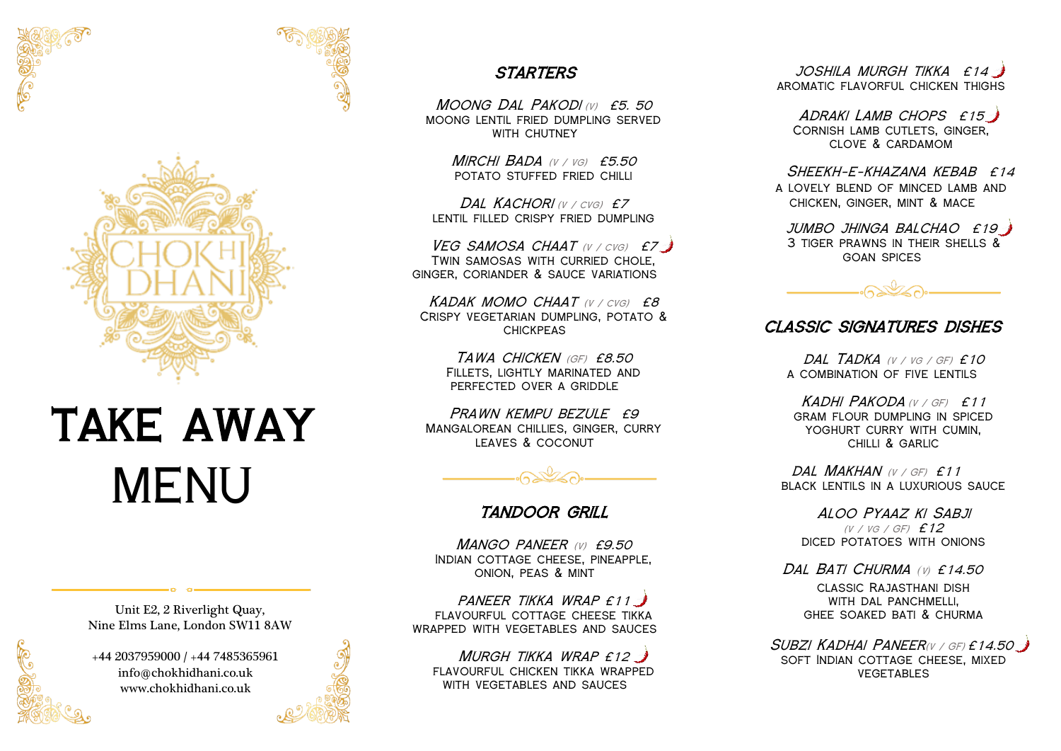



# TAKE AWAY MENU

Unit E2, 2 Riverlight Quay, Nine Elms Lane, London SW11 8AW

+44 2037959000 / +44 7485365961 info@chokhidhani.co.uk www.chokhidhani.co.uk

## **STARTERS**

Moong Dal Pakodi (v)£5. <sup>50</sup> moong lentil fried dumpling served WITH CHUTNEY

> Mirchi Bada (v / vg)£5.50 potato stuffed fried chilli

Dal Kachori (v / cvg)£7 lentil filled crispy fried dumpling

VEG SAMOSA CHAAT (V / CVG) £7 Twin samosas with curried chole, ginger, coriander & sauce variations

Kadak momo chaat (v / cvg) £8 Crispy vegetarian dumpling, potato & **CHICKPEAS** 

> Tawa chicken (GF) £8.50 Fillets, lightly marinated and perfected over a griddle

PRAWN KEMPU BEZULE £9 Mangalorean chillies, ginger, curry leaves & coconut



### tandoor grill

MANGO PANEER (V) £9.50 Indian cottage cheese, pineapple, onion, peas & mint

PANEER TIKKA WRAP £11 FLAVOURFUL COTTAGE CHEESE TIKKA wrapped with vegetables and sauces

MURGH TIKKA WRAP £12 flavourful chicken tikka wrapped with vegetables and sauces

joshila murgh tikka £14 aromatic flavorful chicken thighs

ADRAKI LAMB CHOPS £15 Cornish lamb cutlets, ginger, clove & cardamom

 $S$ HFFKH-F-KHAZANA KFRAB  $f14$ a lovely blend of minced lamb and chicken, ginger, mint & mace

jumbo jhinga balchao £19 3 tiger prawns in their shells & goan spices



#### classic signatures dishes

DAL TADKA (V / VG / GF) £10 a combination of five lentils

KADHI PAKODA (V / GF) £11 gram flour dumpling in spiced YOGHURT CURRY WITH CUMIN. chilli & garlic

DAL MAKHAN (V / GF) £11 black lentils in a luxurious sauce

Aloo Pyaaz ki Sabji (v / vg / GF)£12 diced potatoes with onions

Dal Bati Churma *(*v*)* £14.50 classic Rajasthani dish with dal panchmelli, ghee soaked bati & churma

SUBZI KADHAI PANEER(V / GF) £14.50 soft Indian cottage cheese, mixed **VEGETABLES**